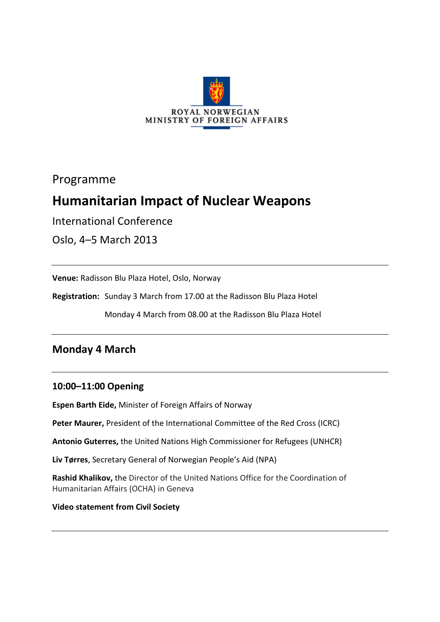

Programme

# **Humanitarian Impact of Nuclear Weapons**

International Conference

Oslo, 4–5 March 2013

**Venue:** Radisson Blu Plaza Hotel, Oslo, Norway

**Registration:** Sunday 3 March from 17.00 at the Radisson Blu Plaza Hotel

Monday 4 March from 08.00 at the Radisson Blu Plaza Hotel

# **Monday 4 March**

### **10:00–11:00 Opening**

**Espen Barth Eide,** Minister of Foreign Affairs of Norway

**Peter Maurer,** President of the International Committee of the Red Cross (ICRC)

**Antonio Guterres,** the United Nations High Commissioner for Refugees (UNHCR)

**Liv Tørres**, Secretary General of Norwegian People's Aid (NPA)

**Rashid Khalikov,** the Director of the United Nations Office for the Coordination of Humanitarian Affairs (OCHA) in Geneva

#### **Video statement from Civil Society**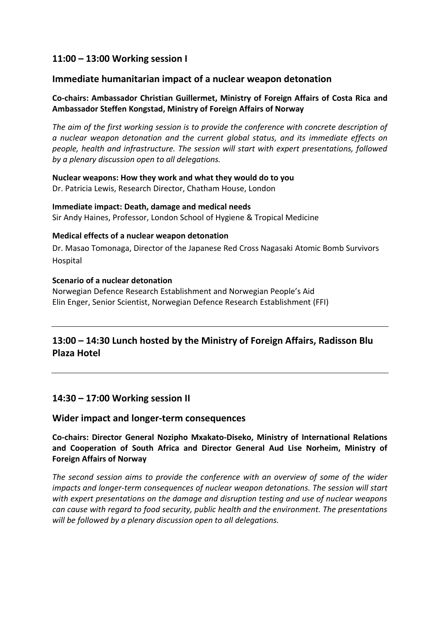### **11:00 – 13:00 Working session I**

#### **Immediate humanitarian impact of a nuclear weapon detonation**

#### **Co-chairs: Ambassador Christian Guillermet, Ministry of Foreign Affairs of Costa Rica and Ambassador Steffen Kongstad, Ministry of Foreign Affairs of Norway**

*The aim of the first working session is to provide the conference with concrete description of a nuclear weapon detonation and the current global status, and its immediate effects on people, health and infrastructure. The session will start with expert presentations, followed by a plenary discussion open to all delegations.*

#### **Nuclear weapons: How they work and what they would do to you** Dr. Patricia Lewis, Research Director, Chatham House, London

#### **Immediate impact: Death, damage and medical needs** Sir Andy Haines, Professor, London School of Hygiene & Tropical Medicine

#### **Medical effects of a nuclear weapon detonation**

Dr. Masao Tomonaga, Director of the Japanese Red Cross Nagasaki Atomic Bomb Survivors Hospital

#### **Scenario of a nuclear detonation**

Norwegian Defence Research Establishment and Norwegian People's Aid Elin Enger, Senior Scientist, Norwegian Defence Research Establishment (FFI)

# **13:00 – 14:30 Lunch hosted by the Ministry of Foreign Affairs, Radisson Blu Plaza Hotel**

### **14:30 – 17:00 Working session II**

#### **Wider impact and longer-term consequences**

#### **Co-chairs: Director General Nozipho Mxakato-Diseko, Ministry of International Relations and Cooperation of South Africa and Director General Aud Lise Norheim, Ministry of Foreign Affairs of Norway**

*The second session aims to provide the conference with an overview of some of the wider impacts and longer-term consequences of nuclear weapon detonations. The session will start with expert presentations on the damage and disruption testing and use of nuclear weapons can cause with regard to food security, public health and the environment. The presentations will be followed by a plenary discussion open to all delegations.*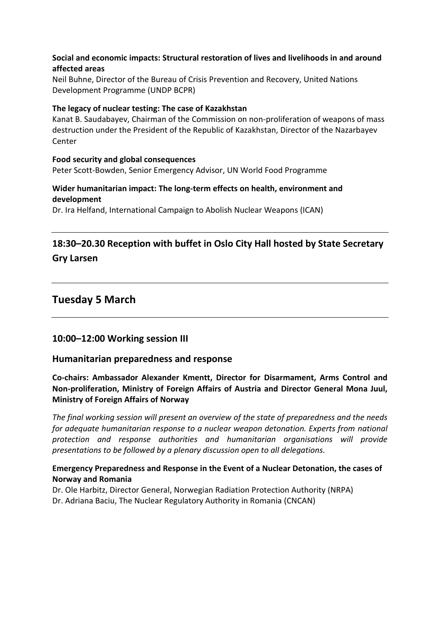#### **Social and economic impacts: Structural restoration of lives and livelihoods in and around affected areas**

Neil Buhne, Director of the Bureau of Crisis Prevention and Recovery, United Nations Development Programme (UNDP BCPR)

#### **The legacy of nuclear testing: The case of Kazakhstan**

Kanat B. Saudabayev, Chairman of the Commission on non-proliferation of weapons of mass destruction under the President of the Republic of Kazakhstan, Director of the Nazarbayev Center

#### **Food security and global consequences**

Peter Scott-Bowden, Senior Emergency Advisor, UN World Food Programme

#### **Wider humanitarian impact: The long-term effects on health, environment and development**

Dr. Ira Helfand, International Campaign to Abolish Nuclear Weapons (ICAN)

# **18:30–20.30 Reception with buffet in Oslo City Hall hosted by State Secretary Gry Larsen**

# **Tuesday 5 March**

### **10:00–12:00 Working session III**

#### **Humanitarian preparedness and response**

**Co-chairs: Ambassador Alexander Kmentt, Director for Disarmament, Arms Control and Non-proliferation, Ministry of Foreign Affairs of Austria and Director General Mona Juul, Ministry of Foreign Affairs of Norway**

*The final working session will present an overview of the state of preparedness and the needs for adequate humanitarian response to a nuclear weapon detonation. Experts from national protection and response authorities and humanitarian organisations will provide presentations to be followed by a plenary discussion open to all delegations.* 

#### **Emergency Preparedness and Response in the Event of a Nuclear Detonation, the cases of Norway and Romania**

Dr. Ole Harbitz, Director General, Norwegian Radiation Protection Authority (NRPA) Dr. Adriana Baciu, The Nuclear Regulatory Authority in Romania (CNCAN)